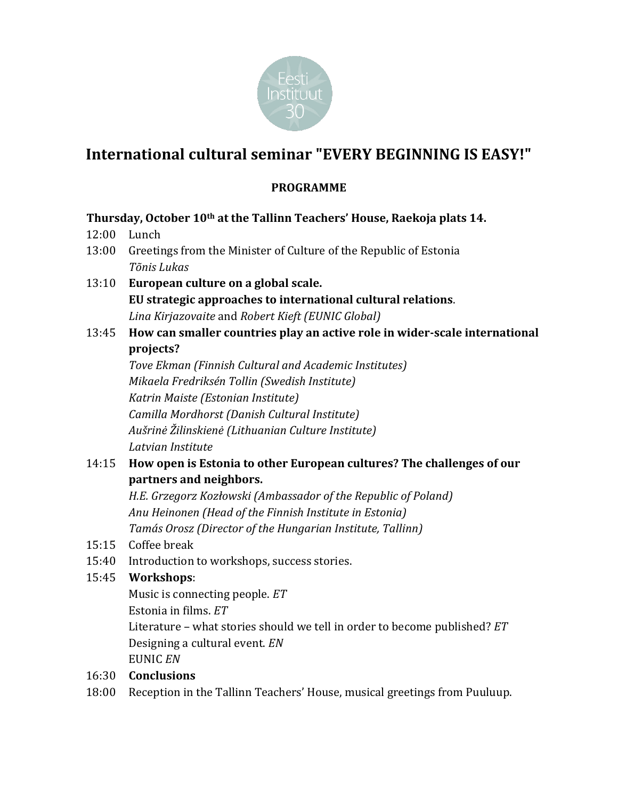

# **International cultural seminar "EVERY BEGINNING IS EASY!"**

## **PROGRAMME**

### **Thursday, October 10th at the Tallinn Teachers' House, Raekoja plats 14.**

- 12:00 Lunch
- 13:00 Greetings from the Minister of Culture of the Republic of Estonia *Tõnis Lukas*
- 13:10 **European culture on a global scale. EU strategic approaches to international cultural relations**. *Lina Kirjazovaite* and *Robert Kieft (EUNIC Global)*
- 13:45 **How can smaller countries play an active role in wider-scale international projects?**

*Tove Ekman (Finnish Cultural and Academic Institutes) Mikaela Fredriksén Tollin (Swedish Institute) Katrin Maiste (Estonian Institute) Camilla Mordhorst (Danish Cultural Institute) Aušrinė Žilinskienė (Lithuanian Culture Institute) Latvian Institute*

# 14:15 **How open is Estonia to other European cultures? The challenges of our partners and neighbors.**

*H.E. Grzegorz Kozłowski (Ambassador of the Republic of Poland) Anu Heinonen (Head of the Finnish Institute in Estonia) Tamás Orosz (Director of the Hungarian Institute, Tallinn)*

- 15:15 Coffee break
- 15:40 Introduction to workshops, success stories.

### 15:45 **Workshops**:

Music is connecting people. *ET* Estonia in films. *ET* Literature – what stories should we tell in order to become published? *ET* Designing a cultural event. *EN* EUNIC *EN*

- 16:30 **Conclusions**
- 18:00 Reception in the Tallinn Teachers' House, musical greetings from Puuluup.